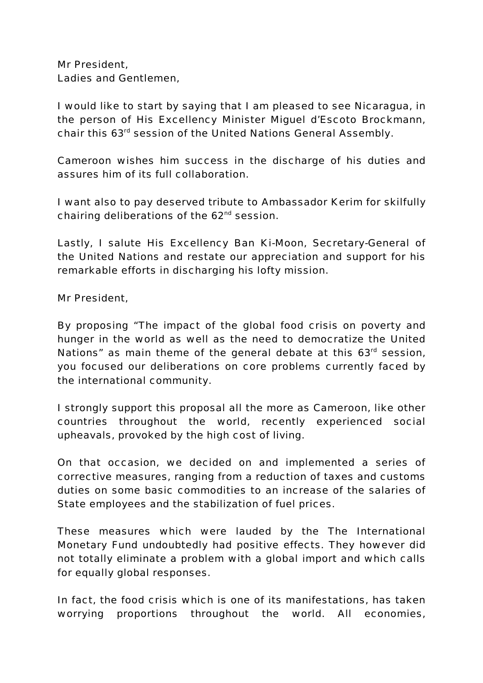Mr President, Ladies and Gentlemen,

I would like to start by saying that I am pleased to see Nicaragua, in the person of His Excellency Minister Miguel d'Escoto Brockmann, chair this 63rd session of the United Nations General Assembly.

Cameroon wishes him success in the discharge of his duties and assures him of its full collaboration.

I want also to pay deserved tribute to Ambassador Kerim for skilfully chairing deliberations of the  $62<sup>nd</sup>$  session.

Lastly, I salute His Excellency Ban Ki-Moon, Secretary-General of the United Nations and restate our appreciation and support for his remarkable efforts in discharging his lofty mission.

Mr President,

By proposing "The impact of the global food crisis on poverty and hunger in the world as well as the need to democratize the United Nations" as main theme of the general debate at this  $63<sup>rd</sup>$  session, you focused our deliberations on core problems currently faced by the international community.

I strongly support this proposal all the more as Cameroon, like other countries throughout the world, recently experienced social upheavals, provoked by the high cost of living.

On that occasion, we decided on and implemented a series of corrective measures, ranging from a reduction of taxes and customs duties on some basic commodities to an increase of the salaries of State employees and the stabilization of fuel prices.

These measures which were lauded by the The International Monetary Fund undoubtedly had positive effects. They however did not totally eliminate a problem with a global import and which calls for equally global responses.

In fact, the food crisis which is one of its manifestations, has taken worrying proportions throughout the world. All economies,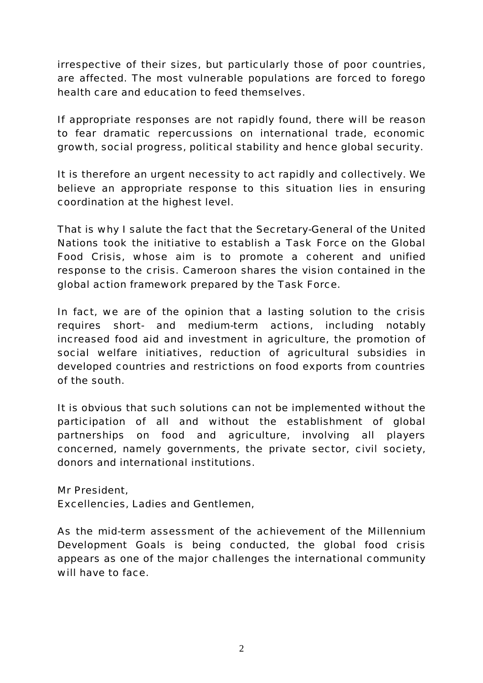irrespective of their sizes, but particularly those of poor countries, are affected. The most vulnerable populations are forced to forego health care and education to feed themselves.

If appropriate responses are not rapidly found, there will be reason to fear dramatic repercussions on international trade, economic growth, social progress, political stability and hence global security.

It is therefore an urgent necessity to act rapidly and collectively. We believe an appropriate response to this situation lies in ensuring coordination at the highest level.

That is why I salute the fact that the Secretary-General of the United Nations took the initiative to establish a Task Force on the Global Food Crisis, whose aim is to promote a coherent and unified response to the crisis. Cameroon shares the vision contained in the global action framework prepared by the Task Force.

In fact, we are of the opinion that a lasting solution to the crisis requires short- and medium-term actions, including notably increased food aid and investment in agriculture, the promotion of social welfare initiatives, reduction of agricultural subsidies in developed countries and restrictions on food exports from countries of the south.

It is obvious that such solutions can not be implemented without the participation of all and without the establishment of global partnerships on food and agriculture, involving all players concerned, namely governments, the private sector, civil society, donors and international institutions.

Mr President, Excellencies, Ladies and Gentlemen,

As the mid-term assessment of the achievement of the Millennium Development Goals is being conducted, the global food crisis appears as one of the major challenges the international community will have to face.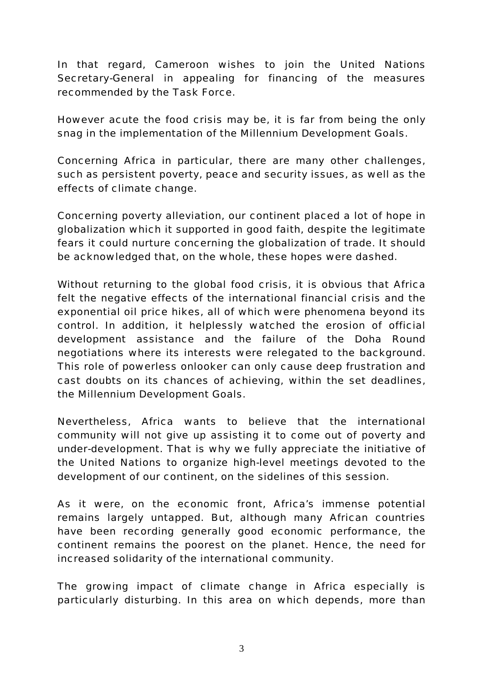In that regard, Cameroon wishes to join the United Nations Secretary-General in appealing for financing of the measures recommended by the Task Force.

However acute the food crisis may be, it is far from being the only snag in the implementation of the Millennium Development Goals.

Concerning Africa in particular, there are many other challenges, such as persistent poverty, peace and security issues, as well as the effects of climate change.

Concerning poverty alleviation, our continent placed a lot of hope in globalization which it supported in good faith, despite the legitimate fears it could nurture concerning the globalization of trade. It should be acknowledged that, on the whole, these hopes were dashed.

Without returning to the global food crisis, it is obvious that Africa felt the negative effects of the international financial crisis and the exponential oil price hikes, all of which were phenomena beyond its control. In addition, it helplessly watched the erosion of official development assistance and the failure of the Doha Round negotiations where its interests were relegated to the background. This role of powerless onlooker can only cause deep frustration and cast doubts on its chances of achieving, within the set deadlines, the Millennium Development Goals.

Nevertheless, Africa wants to believe that the international community will not give up assisting it to come out of poverty and under-development. That is why we fully appreciate the initiative of the United Nations to organize high-level meetings devoted to the development of our continent, on the sidelines of this session.

As it were, on the economic front, Africa's immense potential remains largely untapped. But, although many African countries have been recording generally good economic performance, the continent remains the poorest on the planet. Hence, the need for increased solidarity of the international community.

The growing impact of climate change in Africa especially is particularly disturbing. In this area on which depends, more than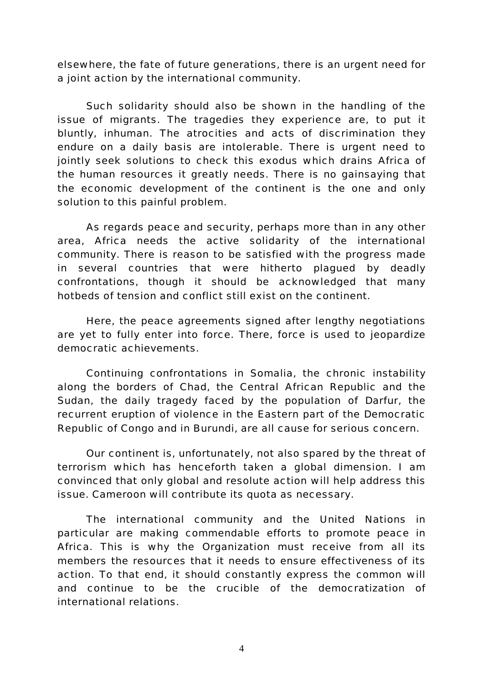elsewhere, the fate of future generations, there is an urgent need for a joint action by the international community.

Such solidarity should also be shown in the handling of the issue of migrants. The tragedies they experience are, to put it bluntly, inhuman. The atrocities and acts of discrimination they endure on a daily basis are intolerable. There is urgent need to jointly seek solutions to check this exodus which drains Africa of the human resources it greatly needs. There is no gainsaying that the economic development of the continent is the one and only solution to this painful problem.

As regards peace and security, perhaps more than in any other area, Africa needs the active solidarity of the international community. There is reason to be satisfied with the progress made in several countries that were hitherto plagued by deadly confrontations, though it should be acknowledged that many hotbeds of tension and conflict still exist on the continent.

Here, the peace agreements signed after lengthy negotiations are yet to fully enter into force. There, force is used to jeopardize democratic achievements.

Continuing confrontations in Somalia, the chronic instability along the borders of Chad, the Central African Republic and the Sudan, the daily tragedy faced by the population of Darfur, the recurrent eruption of violence in the Eastern part of the Democratic Republic of Congo and in Burundi, are all cause for serious concern.

Our continent is, unfortunately, not also spared by the threat of terrorism which has henceforth taken a global dimension. I am convinced that only global and resolute action will help address this issue. Cameroon will contribute its quota as necessary.

The international community and the United Nations in particular are making commendable efforts to promote peace in Africa. This is why the Organization must receive from all its members the resources that it needs to ensure effectiveness of its action. To that end, it should constantly express the common will and continue to be the crucible of the democratization of international relations.

4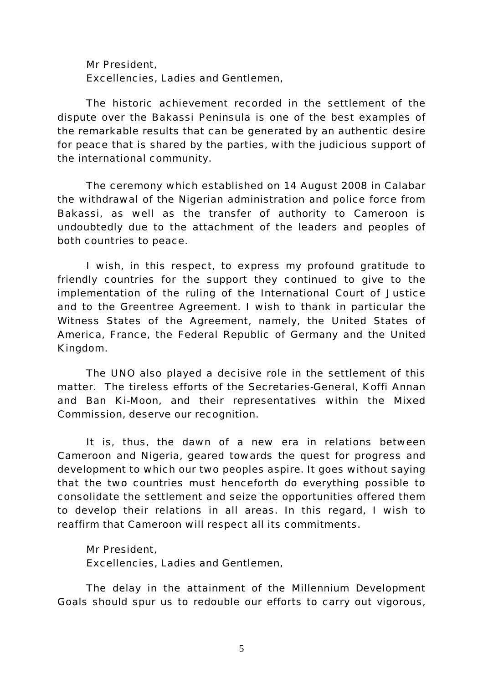Mr President, Excellencies, Ladies and Gentlemen,

The historic achievement recorded in the settlement of the dispute over the Bakassi Peninsula is one of the best examples of the remarkable results that can be generated by an authentic desire for peace that is shared by the parties, with the judicious support of the international community.

The ceremony which established on 14 August 2008 in Calabar the withdrawal of the Nigerian administration and police force from Bakassi, as well as the transfer of authority to Cameroon is undoubtedly due to the attachment of the leaders and peoples of both countries to peace.

I wish, in this respect, to express my profound gratitude to friendly countries for the support they continued to give to the implementation of the ruling of the International Court of Justice and to the Greentree Agreement. I wish to thank in particular the Witness States of the Agreement, namely, the United States of America, France, the Federal Republic of Germany and the United Kingdom.

The UNO also played a decisive role in the settlement of this matter. The tireless efforts of the Secretaries-General, Koffi Annan and Ban Ki-Moon, and their representatives within the Mixed Commission, deserve our recognition.

It is, thus, the dawn of a new era in relations between Cameroon and Nigeria, geared towards the quest for progress and development to which our two peoples aspire. It goes without saying that the two countries must henceforth do everything possible to consolidate the settlement and seize the opportunities offered them to develop their relations in all areas. In this regard, I wish to reaffirm that Cameroon will respect all its commitments.

Mr President, Excellencies, Ladies and Gentlemen,

The delay in the attainment of the Millennium Development Goals should spur us to redouble our efforts to carry out vigorous,